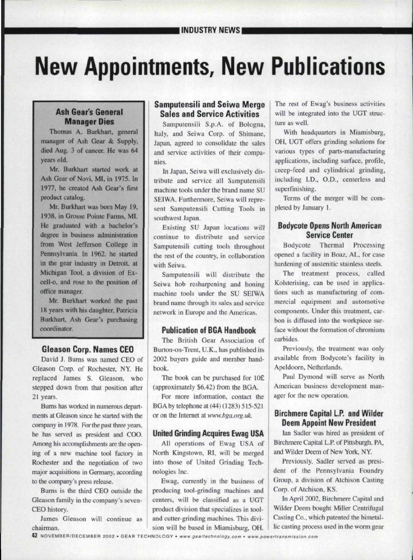## **New Appointments, New Publications**

## Ash Gear's General Manager Dies

Thomas A. Burkhart, general manager of Ash Gear & Supply, died Aug. 3 of cancer. He was 64 years old.

Mr. Burkhart started work at Ash Gear of Novi, MI, in 1975. In 1977, he created Ash Gear's first product catalog.

Mr. Burkhart was born May 19. 1938, in Grosse Pointe Farms, M1. He graduated with a bachelor's degree in business administration from West Jefferson College in Pennsylvania. In 1962. he started in the gear industry in Detroit, at Michigan Tool. a division of Excell-a. and rose to the position of office manager.

Mr. Burkhart worked the past 18 years with his daughter, Patricia Burkhart. Ash Gear's purchasing coordinator.

Gleason Corp. of Rochester, NY. He book. replaced James S. Gleason, who The book can be purchased for 10£ stepped down from that position after  $\vert$  (approximately \$6.42) from the BGA.

Burns has worked in numerous departments at Gleason since he started with the or on the Internet at *www.bga.org.uk*. **Birchmere Capital L.P. and Wilder** company in 1978. For the past three years. **Deem Appoint New President** he has served as president and COO. **United Grinding Acquires Ewag USA** Ian Sadler was hired as president of Among his accomplishments are the open-<br>All operations of Ewag USA of Birchmere Capital L.P. of Pittsburgh, PA, ing of a new machine tool factory in North Kingstown, RI, will be merged and Wilder Deem of New York, NY. Rochester and the negotiation of two into those of United Grinding Tech- Previously, Sadler served as presimajor acquisitions in Germany, according nologies Inc. dent of the Pennsylvania Foundry to the company's press release. Ewag, currently in the business of Group, a division of Atchison Casting

chairman. including the based in Miamisburg, OH. lie casting process used in the worm gear

## Samputensili and Seiwa Merge Sales and Service Activities

Samputensili S.p.A. of Bologna, Italy, and Seiwa Corp. of Shimane, Japan, agreed to consolidate the sales and service activities of their companies.

In Japan, Seiwa will exclusively distribute and service all Samputensili machine tools under the brand name SU SEIWA. Furthermore, Seiwa will represent Samputensili Cutting Tools in southwest Japan.

Existing SU Japan locations will continue to distribute and ervice Samputensili cutting tools throughout the rest of the country, in collaboration

Samputensili will distribute the Seiwa hob resharpening and honing machine tools under the SU SEIWA brand name through its sales and service network in Europe and the Americas.

## **Publication of BGA Handbook**

The British Gear Association of **Gleason Corp. Names CEO** Burton-on-Trent, U.K., has published its David J. Burns was named CEO of 2002 buyers guide and member hand-

21 years. For more information, contact the<br>Burns has worked in numerous depart-<br>BGA by telephone at (44) (1283) 515-521

Burns is the third CEO outside the producing tool-grinding machines and Corp. of Atchison, KS. Gleason family in the company's seven- centers, will be classified as a UGT In April 2002, Birchmere Capital and CEO history. product division that specializes in tool- Wilder Deem bought Miller Centrifugal James Gleason will continue as and cutter-grinding machines. This divi- Casting Co., which patented the bimetal-

The rest of Ewag's business activities will be integrated into the UGT structure as well.

With headquarters in Miamisburg, OH, UGT offers grinding solutions for various types of parts-manufacturing applications, including surface, profile, creep-feed and cylindrical grinding, including I.D., O.D., centerless and superfinishing.

Terms of the merger will be completed by January I.

## Bodycote Opens North American Service Center

Bodycote Thermal Processing opened a facility in Boaz, AL, for case hardening of austenitic stainless steels.

The treatment process, called Kolsterising, can be used in applications such as manufacturing of commercial equipment and automotive components. Under this treatment, carbon is diffused into the workpiece surface without the formation of chromium carbides.

Previously, the treatment was only available from Bodycote's facility in Apeldoorn, Netherlands.

Paul Dymond will serve as North American business development manager for the new operation.

42 NOVEMBERIDECEMBER 2002 • GEAR TECHNOLOGY· *[www.gesrtechnologY.com](http://www.gesrtechnologY.com) • [wWW,pow8rtrsnsmisslon.com](http://wWW,pow8rtrsnsmisslon.com)*